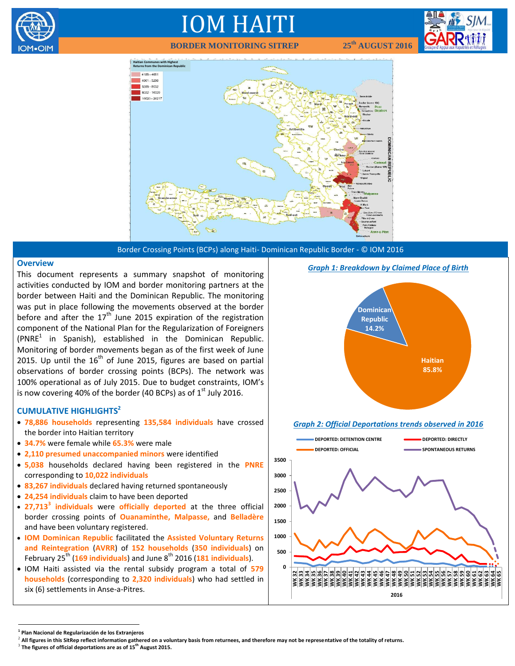

## IOM HAITI

 **BORDER MONITORING SITREP 25th AUGUST 2016**





Border Crossing Points (BCPs) along Haiti- Dominican Republic Border - © IOM 2016

#### **Overview**

This document represents a summary snapshot of monitoring activities conducted by IOM and border monitoring partners at the border between Haiti and the Dominican Republic. The monitoring was put in place following the movements observed at the border before and after the  $17<sup>th</sup>$  June 2015 expiration of the registration component of the National Plan for the Regularization of Foreigners  $(PNRE<sup>1</sup>$  in Spanish), established in the Dominican Republic. Monitoring of border movements began as of the first week of June 2015. Up until the  $16^{th}$  of June 2015, figures are based on partial observations of border crossing points (BCPs). The network was 100% operational as of July 2015. Due to budget constraints, IOM's is now covering 40% of the border (40 BCPs) as of  $1<sup>st</sup>$  July 2016.

## **CUMULATIVE HIGHLIGHTS<sup>2</sup>**

- **78,886 households** representing **135,584 individuals** have crossed the border into Haitian territory
- **34.7%** were female while **65.3%** were male
- **2,110 presumed unaccompanied minors** were identified
- **5,038** households declared having been registered in the **PNRE**  corresponding to **10,022 individuals**
- **83,267 individuals** declared having returned spontaneously
- **24,254 individuals** claim to have been deported
- **27,713<sup>3</sup> individuals** were **officially deported** at the three official border crossing points of **Ouanaminthe, Malpasse,** and **Belladère** and have been voluntary registered.
- **IOM Dominican Republic** facilitated the **Assisted Voluntary Returns and Reintegration** (**AVRR**) of **152 households** (**350 individuals**) on February 25<sup>th</sup> (169 individuals) and June 8<sup>th</sup> 2016 (181 individuals).
- IOM Haiti assisted via the rental subsidy program a total of **579 households** (corresponding to **2,320 individuals**) who had settled in six (6) settlements in Anse-a-Pitres.



#### *Graph 2: Official Deportations trends observed in 2016*



 $\overline{a}$ 

**<sup>1</sup> Plan Nacional de Regularización de los Extranjeros**

<sup>2</sup> **All figures in this SitRep reflect information gathered on a voluntary basis from returnees, and therefore may not be representative of the totality of returns.**

<sup>3</sup> **The figures of official deportations are as of 15th August 2015.**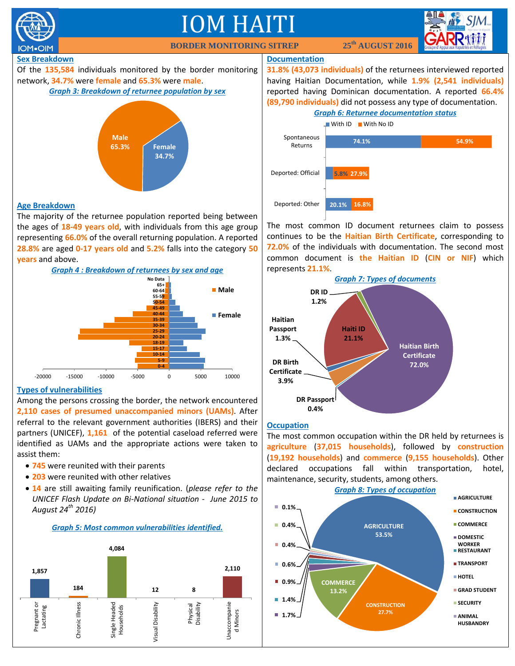

The majority of the returnee population reported being between the ages of **18-49 years old**, with individuals from this age group representing **66.0%** of the overall returning population. A reported **28.8%** are aged **0-17 years old** and **5.2%** falls into the category **50 years** and above.



## **Types of vulnerabilities**

Among the persons crossing the border, the network encountered **2,110 cases of presumed unaccompanied minors (UAMs)**. After referral to the relevant government authorities (IBERS) and their partners (UNICEF), **1,161** of the potential caseload referred were identified as UAMs and the appropriate actions were taken to assist them:

- **745** were reunited with their parents
- **203** were reunited with other relatives
- **14** are still awaiting family reunification. (*please refer to the UNICEF Flash Update on Bi-National situation - June 2015 to August 24th 2016)*

## *Graph 5: Most common vulnerabilities identified.*



The most common ID document returnees claim to possess continues to be the **Haitian Birth Certificate**, corresponding to **72.0%** of the individuals with documentation. The second most common document is **the Haitian ID** (**CIN or NIF**) which represents **21.1%**.



## **Occupation**

The most common occupation within the DR held by returnees is **agriculture** (**37,015 households**), followed by **construction** (**19,192 households**) and **commerce** (**9,155 households**). Other declared occupations fall within transportation, hotel, maintenance, security, students, among others.

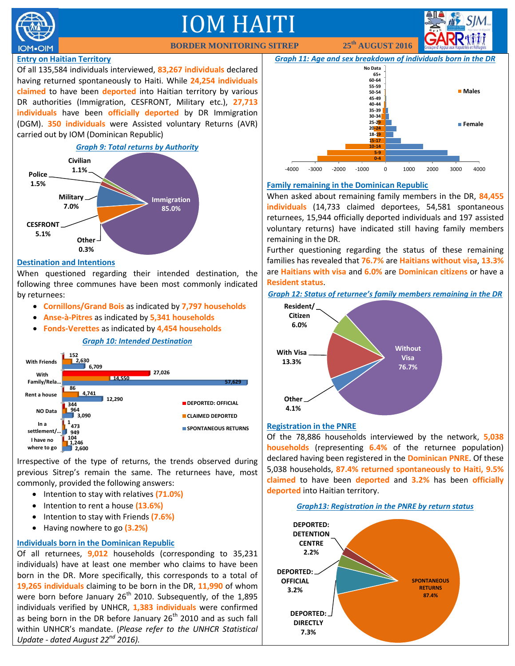

# IOM HAITI

 **BORDER MONITORING SITREP 25<sup>th</sup> <b>AUGUST 2016** 

## **Entry on Haitian Territory**

Of all 135,584 individuals interviewed, **83,267 individuals** declared having returned spontaneously to Haiti. While **24,254 individuals claimed** to have been **deported** into Haitian territory by various DR authorities (Immigration, CESFRONT, Military etc.), **27,713 individuals** have been **officially deported** by DR Immigration (DGM). **350 individuals** were Assisted voluntary Returns (AVR) carried out by IOM (Dominican Republic)



## **Destination and Intentions**

When questioned regarding their intended destination, the following three communes have been most commonly indicated by returnees:

- **Cornillons/Grand Bois** as indicated by **7,797 households**
- **Anse-à-Pitres** as indicated by **5,341 households**
- **Fonds-Verettes** as indicated by **4,454 households**

## *Graph 10: Intended Destination*



Irrespective of the type of returns, the trends observed during previous Sitrep's remain the same. The returnees have, most commonly, provided the following answers:

- Intention to stay with relatives (71.0%)
- **•** Intention to rent a house (13.6%)
- Intention to stay with Friends **(7.6%)**
- Having nowhere to go **(3.2%)**

## **Individuals born in the Dominican Republic**

Of all returnees, **9,012** households (corresponding to 35,231 individuals) have at least one member who claims to have been born in the DR. More specifically, this corresponds to a total of **19,265 individuals** claiming to be born in the DR, **11,990** of whom were born before January 26<sup>th</sup> 2010. Subsequently, of the 1,895 individuals verified by UNHCR, **1,383 individuals** were confirmed as being born in the DR before January 26<sup>th</sup> 2010 and as such fall within UNHCR's mandate. (*Please refer to the UNHCR Statistical Update - dated August 22nd 2016).*



## **Family remaining in the Dominican Republic**

When asked about remaining family members in the DR, **84,455 individuals** (14,733 claimed deportees, 54,581 spontaneous returnees, 15,944 officially deported individuals and 197 assisted voluntary returns) have indicated still having family members remaining in the DR.

Further questioning regarding the status of these remaining families has revealed that **76.7%** are **Haitians without visa**, **13.3%** are **Haitians with visa** and **6.0%** are **Dominican citizens** or have a **Resident status**.

*Graph 12: Status of returnee's family members remaining in the DR*



## **Registration in the PNRE**

Of the 78,886 households interviewed by the network, **5,038 households** (representing **6.4%** of the returnee population) declared having been registered in the **Dominican PNRE**. Of these 5,038 households, **87.4% returned spontaneously to Haiti, 9.5% claimed** to have been **deported** and **3.2%** has been **officially deported** into Haitian territory.

*Graph13: Registration in the PNRE by return status*

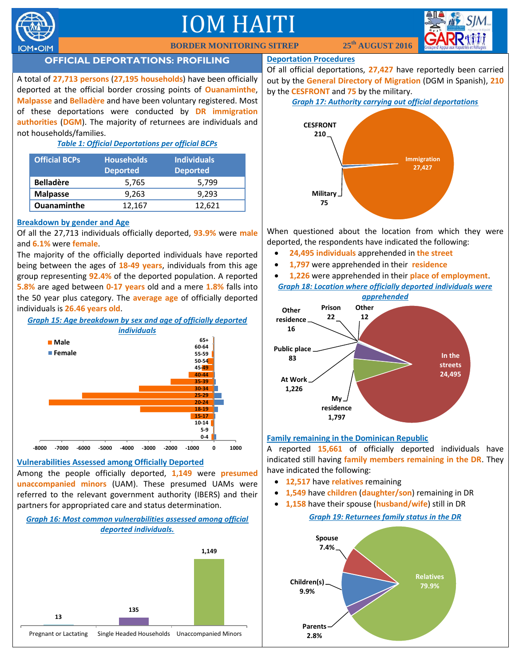

# IOM HAITI



## **OFFICIAL DEPORTATIONS: PROFILING**

A total of **27,713 persons** (**27,195 households**) have been officially deported at the official border crossing points of **Ouanaminthe**, **Malpasse** and **Belladère** and have been voluntary registered. Most of these deportations were conducted by **DR immigration authorities** (**DGM**). The majority of returnees are individuals and not households/families.

## *Table 1: Official Deportations per official BCPs*

| <b>Official BCPs</b> | <b>Households</b><br><b>Deported</b> | <b>Individuals</b><br><b>Deported</b> |
|----------------------|--------------------------------------|---------------------------------------|
| <b>Belladère</b>     | 5,765                                | 5.799                                 |
| <b>Malpasse</b>      | 9.263                                | 9.293                                 |
| <b>Ouanaminthe</b>   | 12,167                               | 12.621                                |

## **Breakdown by gender and Age**

Of all the 27,713 individuals officially deported, **93.9%** were **male** and **6.1%** were **female**.

The majority of the officially deported individuals have reported being between the ages of **18-49 years**, individuals from this age group representing **92.4%** of the deported population. A reported **5.8%** are aged between **0-17 years** old and a mere **1.8%** falls into the 50 year plus category. The **average age** of officially deported individuals is **26.46 years old**.

*Graph 15: Age breakdown by sex and age of officially deported individuals*



## **Vulnerabilities Assessed among Officially Deported**

Among the people officially deported, **1,149** were **presumed unaccompanied minors** (UAM). These presumed UAMs were referred to the relevant government authority (IBERS) and their partners for appropriated care and status determination.

## *Graph 16: Most common vulnerabilities assessed among official deported individuals.*



#### **Deportation Procedures**

Of all official deportations, **27,427** have reportedly been carried out by the **General Directory of Migration** (DGM in Spanish), **210** by the **CESFRONT** and **75** by the military.

## *Graph 17: Authority carrying out official deportations*



When questioned about the location from which they were deported, the respondents have indicated the following:

- **24,495 individuals** apprehended in **the street**
- **1,797** were apprehended in their **residence**
- **1,226** were apprehended in their **place of employment**. *Graph 18: Location where officially deported individuals were*



## **Family remaining in the Dominican Republic**

A reported **15,661** of officially deported individuals have indicated still having **family members remaining in the DR**. They have indicated the following:

- **12,517** have **relatives** remaining
- **1,549** have **children** (**daughter/son**) remaining in DR
- **1,158** have their spouse (**husband/wife**) still in DR

*Graph 19: Returnees family status in the DR*